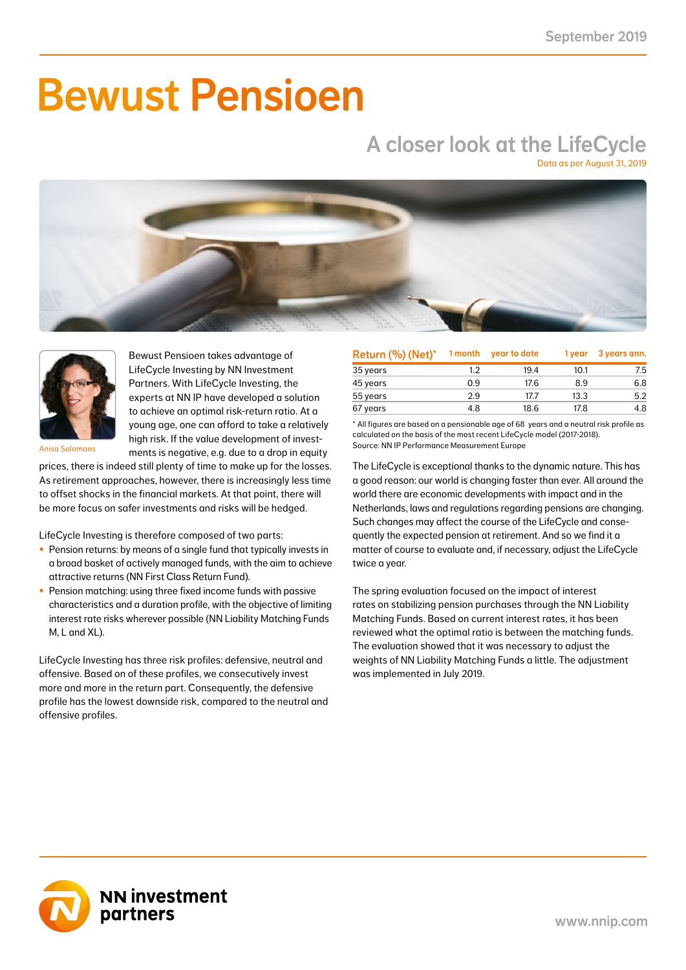# Bewust Pensioen

### A closer look at the LifeCycle Data as per August 31, 2019





Bewust Pensioen takes advantage of LifeCycle Investing by NN Investment Partners. With LifeCycle Investing, the experts at NN IP have developed a solution to achieve an optimal risk-return ratio. At a young age, one can afford to take a relatively high risk. If the value development of investments is negative, e.g. due to a drop in equity

Anisa Salomons

prices, there is indeed still plenty of time to make up for the losses. As retirement approaches, however, there is increasingly less time to offset shocks in the financial markets. At that point, there will be more focus on safer investments and risks will be hedged.

LifeCycle Investing is therefore composed of two parts:

- Pension returns: by means of a single fund that typically invests in a broad basket of actively managed funds, with the aim to achieve attractive returns (NN First Class Return Fund).
- Pension matching: using three fixed income funds with passive characteristics and a duration profile, with the objective of limiting interest rate risks wherever possible (NN Liability Matching Funds M, L and XL).

LifeCycle Investing has three risk profiles: defensive, neutral and offensive. Based on of these profiles, we consecutively invest more and more in the return part. Consequently, the defensive profile has the lowest downside risk, compared to the neutral and offensive profiles.

| Return (%) (Net)* | 1 month | year to date | 1 year | 3 years ann. |
|-------------------|---------|--------------|--------|--------------|
| 35 years          | 1.2     | 19.4         | 10.1   | 7.5          |
| 45 years          | 0.9     | 17.6         | 8.9    | 6.8          |
| 55 years          | 2.9     | 17.7         | 13.3   | 5.2          |
| 67 years          | 4.8     | 18.6         | 17.8   | 4.8          |

\* All figures are based on a pensionable age of 68 years and a neutral risk profile as calculated on the basis of the most recent LifeCycle model (2017-2018). Source: NN IP Performance Measurement Europe

The LifeCycle is exceptional thanks to the dynamic nature. This has a good reason: our world is changing faster than ever. All around the world there are economic developments with impact and in the Netherlands, laws and regulations regarding pensions are changing. Such changes may affect the course of the LifeCycle and consequently the expected pension at retirement. And so we find it a matter of course to evaluate and, if necessary, adjust the LifeCycle twice a year.

The spring evaluation focused on the impact of interest rates on stabilizing pension purchases through the NN Liability Matching Funds. Based on current interest rates, it has been reviewed what the optimal ratio is between the matching funds. The evaluation showed that it was necessary to adjust the weights of NN Liability Matching Funds a little. The adjustment was implemented in July 2019.

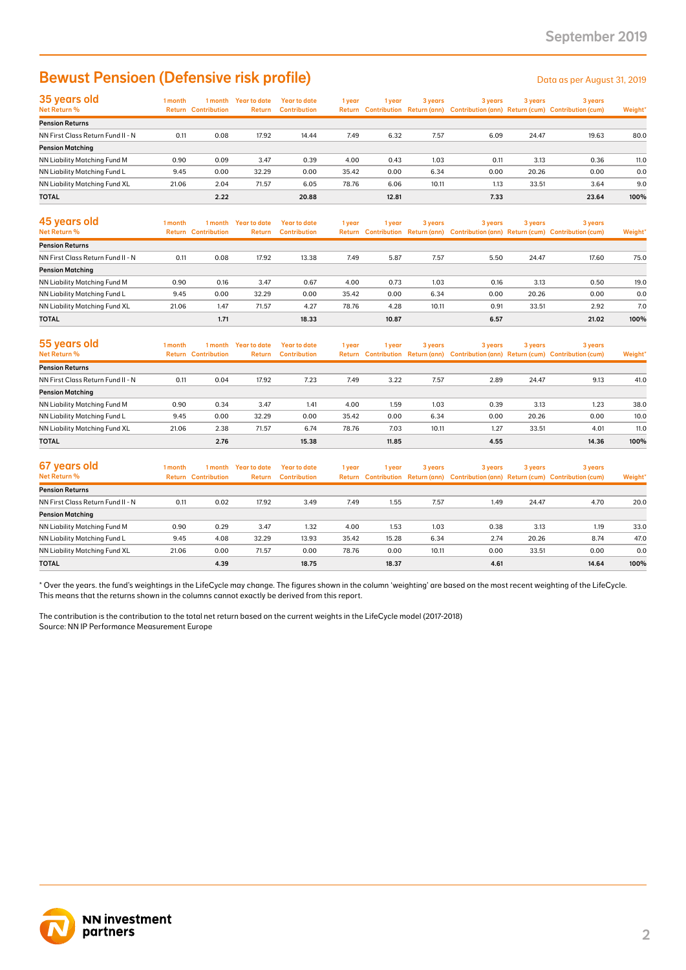### Bewust Pensioen (Defensive risk profile) Determine the Data as per August 31, 2019

| 35 years old                      | l month | 1 month                    | Year to date  | <b>Year to date</b> | 1 year | 1 vear | 3 years | 3 years | 3 years | 3 years                                                                             |         |
|-----------------------------------|---------|----------------------------|---------------|---------------------|--------|--------|---------|---------|---------|-------------------------------------------------------------------------------------|---------|
| Net Return %                      |         | <b>Return Contribution</b> | <b>Return</b> | <b>Contribution</b> |        |        |         |         |         | Return Contribution Return (ann) Contribution (ann) Return (cum) Contribution (cum) | Weight* |
| <b>Pension Returns</b>            |         |                            |               |                     |        |        |         |         |         |                                                                                     |         |
| NN First Class Return Fund II - N | 0.11    | 0.08                       | 17.92         | 14.44               | 7.49   | 6.32   | 7.57    | 6.09    | 24.47   | 19.63                                                                               | 80.0    |
| <b>Pension Matching</b>           |         |                            |               |                     |        |        |         |         |         |                                                                                     |         |
| NN Liability Matching Fund M      | 0.90    | 0.09                       | 3.47          | 0.39                | 4.00   | 0.43   | 1.03    | 0.11    | 3.13    | 0.36                                                                                | 11.0    |
| NN Liability Matching Fund L      | 9.45    | 0.00                       | 32.29         | 0.00                | 35.42  | 0.00   | 6.34    | 0.00    | 20.26   | 0.00                                                                                | 0.0     |
| NN Liability Matching Fund XL     | 21.06   | 2.04                       | 71.57         | 6.05                | 78.76  | 6.06   | 10.11   | 1.13    | 33.51   | 3.64                                                                                | 9.0     |
| <b>TOTAL</b>                      |         | 2.22                       |               | 20.88               |        | 12.81  |         | 7.33    |         | 23.64                                                                               | 100%    |

| 45 years old<br><b>Net Return %</b> | l month<br>Return | 1 month<br><b>Contribution</b> | Year to date<br>Return | Year to date<br><b>Contribution</b> | 1 year | 1 year | 3 years | 3 years | 3 years | 3 years<br>Return Contribution Return (ann) Contribution (ann) Return (cum) Contribution (cum) | Weight* |
|-------------------------------------|-------------------|--------------------------------|------------------------|-------------------------------------|--------|--------|---------|---------|---------|------------------------------------------------------------------------------------------------|---------|
| <b>Pension Returns</b>              |                   |                                |                        |                                     |        |        |         |         |         |                                                                                                |         |
| NN First Class Return Fund II - N   | 0.11              | 0.08                           | 17.92                  | 13.38                               | 7.49   | 5.87   | 7.57    | 5.50    | 24.47   | 17.60                                                                                          | 75.0    |
| <b>Pension Matching</b>             |                   |                                |                        |                                     |        |        |         |         |         |                                                                                                |         |
| NN Liability Matching Fund M        | 0.90              | 0.16                           | 3.47                   | 0.67                                | 4.00   | 0.73   | 1.03    | 0.16    | 3.13    | 0.50                                                                                           | 19.0    |
| NN Liability Matching Fund L        | 9.45              | 0.00                           | 32.29                  | 0.00                                | 35.42  | 0.00   | 6.34    | 0.00    | 20.26   | 0.00                                                                                           | 0.0     |
| NN Liability Matching Fund XL       | 21.06             | 1.47                           | 71.57                  | 4.27                                | 78.76  | 4.28   | 10.11   | 0.91    | 33.51   | 2.92                                                                                           | 7.0     |
| <b>TOTAL</b>                        |                   | 1.71                           |                        | 18.33                               |        | 10.87  |         | 6.57    |         | 21.02                                                                                          | 100%    |

| 55 years old<br>Net Return %      | l month | 1 month<br><b>Return Contribution</b> | Year to date<br><b>Return</b> | Year to date<br><b>Contribution</b> | 1 year | l vear | 3 years | 3 years | 3 years | 3 years<br>Return Contribution Return (ann) Contribution (ann) Return (cum) Contribution (cum) | Weight* |
|-----------------------------------|---------|---------------------------------------|-------------------------------|-------------------------------------|--------|--------|---------|---------|---------|------------------------------------------------------------------------------------------------|---------|
| <b>Pension Returns</b>            |         |                                       |                               |                                     |        |        |         |         |         |                                                                                                |         |
| NN First Class Return Fund II - N | 0.11    | 0.04                                  | 17.92                         | 7.23                                | 7.49   | 3.22   | 7.57    | 2.89    | 24.47   | 9.13                                                                                           | 41.0    |
| <b>Pension Matching</b>           |         |                                       |                               |                                     |        |        |         |         |         |                                                                                                |         |
| NN Liability Matching Fund M      | 0.90    | 0.34                                  | 3.47                          | 1.41                                | 4.00   | 1.59   | 1.03    | 0.39    | 3.13    | 1.23                                                                                           | 38.0    |
| NN Liability Matching Fund L      | 9.45    | 0.00                                  | 32.29                         | 0.00                                | 35.42  | 0.00   | 6.34    | 0.00    | 20.26   | 0.00                                                                                           | 10.0    |
| NN Liability Matching Fund XL     | 21.06   | 2.38                                  | 71.57                         | 6.74                                | 78.76  | 7.03   | 10.11   | 1.27    | 33.51   | 4.01                                                                                           | 11.0    |
| <b>TOTAL</b>                      |         | 2.76                                  |                               | 15.38                               |        | 11.85  |         | 4.55    |         | 14.36                                                                                          | 100%    |

| 67 years old<br>Net Return %      | l month | 1 month<br><b>Return Contribution</b> | <b>Year to date</b><br>Return | Year to date<br><b>Contribution</b> | 1 year | 1 vear | 3 years | 3 years | 3 years | 3 years<br>Return Contribution Return (ann) Contribution (ann) Return (cum) Contribution (cum) | Weight* |
|-----------------------------------|---------|---------------------------------------|-------------------------------|-------------------------------------|--------|--------|---------|---------|---------|------------------------------------------------------------------------------------------------|---------|
| <b>Pension Returns</b>            |         |                                       |                               |                                     |        |        |         |         |         |                                                                                                |         |
| NN First Class Return Fund II - N | 0.11    | 0.02                                  | 17.92                         | 3.49                                | 7.49   | 1.55   | 7.57    | 1.49    | 24.47   | 4.70                                                                                           | 20.0    |
| <b>Pension Matching</b>           |         |                                       |                               |                                     |        |        |         |         |         |                                                                                                |         |
| NN Liability Matching Fund M      | 0.90    | 0.29                                  | 3.47                          | 1.32                                | 4.00   | 1.53   | 1.03    | 0.38    | 3.13    | 1.19                                                                                           | 33.0    |
| NN Liability Matching Fund L      | 9.45    | 4.08                                  | 32.29                         | 13.93                               | 35.42  | 15.28  | 6.34    | 2.74    | 20.26   | 8.74                                                                                           | 47.0    |
| NN Liability Matching Fund XL     | 21.06   | 0.00                                  | 71.57                         | 0.00                                | 78.76  | 0.00   | 10.11   | 0.00    | 33.51   | 0.00                                                                                           | 0.0     |
| <b>TOTAL</b>                      |         | 4.39                                  |                               | 18.75                               |        | 18.37  |         | 4.61    |         | 14.64                                                                                          | 100%    |

\* Over the years. the fund's weightings in the LifeCycle may change. The figures shown in the column 'weighting' are based on the most recent weighting of the LifeCycle. This means that the returns shown in the columns cannot exactly be derived from this report.

The contribution is the contribution to the total net return based on the current weights in the LifeCycle model (2017-2018) Source: NN IP Performance Measurement Europe

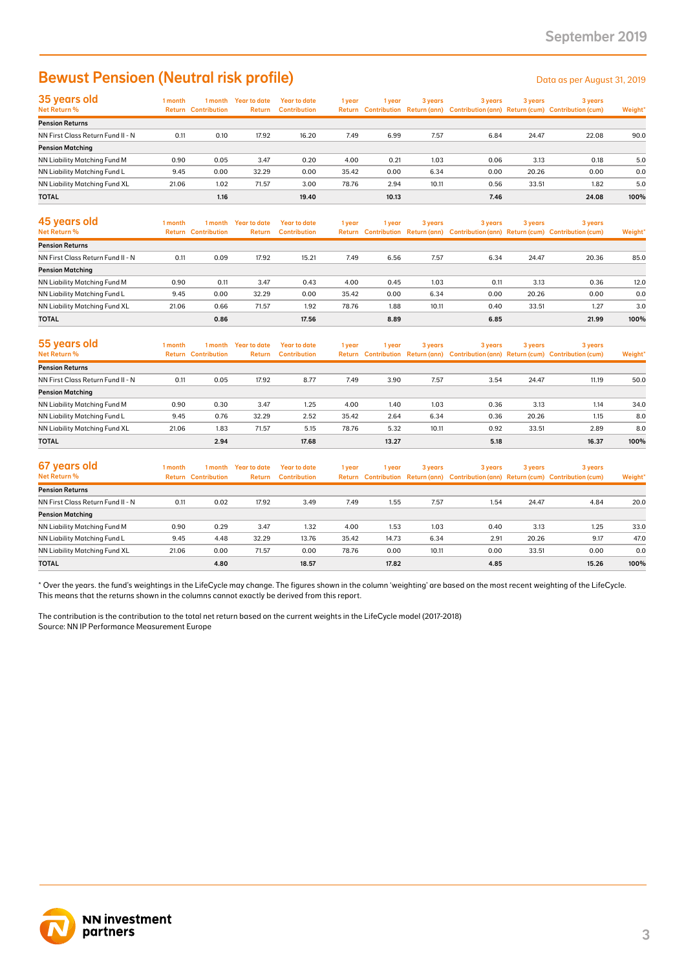## Bewust Pensioen (Neutral risk profile) Data as per August 31, 2019

| 35 years old                      | 1 month | l month                    | Year to date  | <b>Year to date</b> | 1 year | vear  | 3 years | 3 years | 3 years | 3 years                                                                             |         |
|-----------------------------------|---------|----------------------------|---------------|---------------------|--------|-------|---------|---------|---------|-------------------------------------------------------------------------------------|---------|
| Net Return %                      |         | <b>Return Contribution</b> | <b>Return</b> | <b>Contribution</b> |        |       |         |         |         | Return Contribution Return (ann) Contribution (ann) Return (cum) Contribution (cum) | Weight* |
| <b>Pension Returns</b>            |         |                            |               |                     |        |       |         |         |         |                                                                                     |         |
| NN First Class Return Fund II - N | 0.11    | 0.10                       | 17.92         | 16.20               | 7.49   | 6.99  | 7.57    | 6.84    | 24.47   | 22.08                                                                               | 90.0    |
| <b>Pension Matching</b>           |         |                            |               |                     |        |       |         |         |         |                                                                                     |         |
| NN Liability Matching Fund M      | 0.90    | 0.05                       | 3.47          | 0.20                | 4.00   | 0.21  | 1.03    | 0.06    | 3.13    | 0.18                                                                                | 5.0     |
| NN Liability Matching Fund L      | 9.45    | 0.00                       | 32.29         | 0.00                | 35.42  | 0.00  | 6.34    | 0.00    | 20.26   | 0.00                                                                                | 0.0     |
| NN Liability Matching Fund XL     | 21.06   | 1.02                       | 71.57         | 3.00                | 78.76  | 2.94  | 10.11   | 0.56    | 33.51   | 1.82                                                                                | 5.0     |
| <b>TOTAL</b>                      |         | 1.16                       |               | 19.40               |        | 10.13 |         | 7.46    |         | 24.08                                                                               | 100%    |

| 45 years old<br>Net Return %      | 1 month<br><b>Return</b> | 1 month<br><b>Contribution</b> | Year to date<br><b>Return</b> | Year to date<br><b>Contribution</b> | 1 year | 1 year | 3 years | 3 years | 3 years | 3 years<br>Return Contribution Return (ann) Contribution (ann) Return (cum) Contribution (cum) | Weight* |
|-----------------------------------|--------------------------|--------------------------------|-------------------------------|-------------------------------------|--------|--------|---------|---------|---------|------------------------------------------------------------------------------------------------|---------|
| <b>Pension Returns</b>            |                          |                                |                               |                                     |        |        |         |         |         |                                                                                                |         |
| NN First Class Return Fund II - N | 0.11                     | 0.09                           | 17.92                         | 15.21                               | 7.49   | 6.56   | 7.57    | 6.34    | 24.47   | 20.36                                                                                          | 85.0    |
| <b>Pension Matching</b>           |                          |                                |                               |                                     |        |        |         |         |         |                                                                                                |         |
| NN Liability Matching Fund M      | 0.90                     | 0.11                           | 3.47                          | 0.43                                | 4.00   | 0.45   | 1.03    | 0.11    | 3.13    | 0.36                                                                                           | 12.0    |
| NN Liability Matching Fund L      | 9.45                     | 0.00                           | 32.29                         | 0.00                                | 35.42  | 0.00   | 6.34    | 0.00    | 20.26   | 0.00                                                                                           | 0.0     |
| NN Liability Matching Fund XL     | 21.06                    | 0.66                           | 71.57                         | 1.92                                | 78.76  | 1.88   | 10.11   | 0.40    | 33.51   | 1.27                                                                                           | 3.0     |
| <b>TOTAL</b>                      |                          | 0.86                           |                               | 17.56                               |        | 8.89   |         | 6.85    |         | 21.99                                                                                          | 100%    |

| 55 years old<br>Net Return %      | l month<br>Return | 1 month<br><b>Contribution</b> | Year to date<br><b>Return</b> | Year to date<br><b>Contribution</b> | 1 year | 1 year | 3 years | 3 years | 3 years | 3 years<br>Return Contribution Return (ann) Contribution (ann) Return (cum) Contribution (cum) | Weight* |
|-----------------------------------|-------------------|--------------------------------|-------------------------------|-------------------------------------|--------|--------|---------|---------|---------|------------------------------------------------------------------------------------------------|---------|
| <b>Pension Returns</b>            |                   |                                |                               |                                     |        |        |         |         |         |                                                                                                |         |
| NN First Class Return Fund II - N | 0.11              | 0.05                           | 17.92                         | 8.77                                | 7.49   | 3.90   | 7.57    | 3.54    | 24.47   | 11.19                                                                                          | 50.0    |
| <b>Pension Matching</b>           |                   |                                |                               |                                     |        |        |         |         |         |                                                                                                |         |
| NN Liability Matching Fund M      | 0.90              | 0.30                           | 3.47                          | 1.25                                | 4.00   | 1.40   | 1.03    | 0.36    | 3.13    | 1.14                                                                                           | 34.0    |
| NN Liability Matching Fund L      | 9.45              | 0.76                           | 32.29                         | 2.52                                | 35.42  | 2.64   | 6.34    | 0.36    | 20.26   | 1.15                                                                                           | 8.0     |
| NN Liability Matching Fund XL     | 21.06             | 1.83                           | 71.57                         | 5.15                                | 78.76  | 5.32   | 10.11   | 0.92    | 33.51   | 2.89                                                                                           | 8.0     |
| <b>TOTAL</b>                      |                   | 2.94                           |                               | 17.68                               |        | 13.27  |         | 5.18    |         | 16.37                                                                                          | 100%    |

| 67 years old<br>Net Return %      | I month | 1 month<br><b>Return Contribution</b> | Year to date<br>Return | Year to date<br><b>Contribution</b> | 1 year | l vear | 3 years | 3 years | 3 years | 3 years<br>Return Contribution Return (ann) Contribution (ann) Return (cum) Contribution (cum) | Weight* |
|-----------------------------------|---------|---------------------------------------|------------------------|-------------------------------------|--------|--------|---------|---------|---------|------------------------------------------------------------------------------------------------|---------|
| <b>Pension Returns</b>            |         |                                       |                        |                                     |        |        |         |         |         |                                                                                                |         |
| NN First Class Return Fund II - N | 0.11    | 0.02                                  | 17.92                  | 3.49                                | 7.49   | 1.55   | 7.57    | 1.54    | 24.47   | 4.84                                                                                           | 20.0    |
| <b>Pension Matching</b>           |         |                                       |                        |                                     |        |        |         |         |         |                                                                                                |         |
| NN Liability Matching Fund M      | 0.90    | 0.29                                  | 3.47                   | 1.32                                | 4.00   | 1.53   | 1.03    | 0.40    | 3.13    | 1.25                                                                                           | 33.0    |
| NN Liability Matching Fund L      | 9.45    | 4.48                                  | 32.29                  | 13.76                               | 35.42  | 14.73  | 6.34    | 2.91    | 20.26   | 9.17                                                                                           | 47.0    |
| NN Liability Matching Fund XL     | 21.06   | 0.00                                  | 71.57                  | 0.00                                | 78.76  | 0.00   | 10.11   | 0.00    | 33.51   | 0.00                                                                                           | 0.0     |
| <b>TOTAL</b>                      |         | 4.80                                  |                        | 18.57                               |        | 17.82  |         | 4.85    |         | 15.26                                                                                          | 100%    |

\* Over the years. the fund's weightings in the LifeCycle may change. The figures shown in the column 'weighting' are based on the most recent weighting of the LifeCycle. This means that the returns shown in the columns cannot exactly be derived from this report.

The contribution is the contribution to the total net return based on the current weights in the LifeCycle model (2017-2018) Source: NN IP Performance Measurement Europe